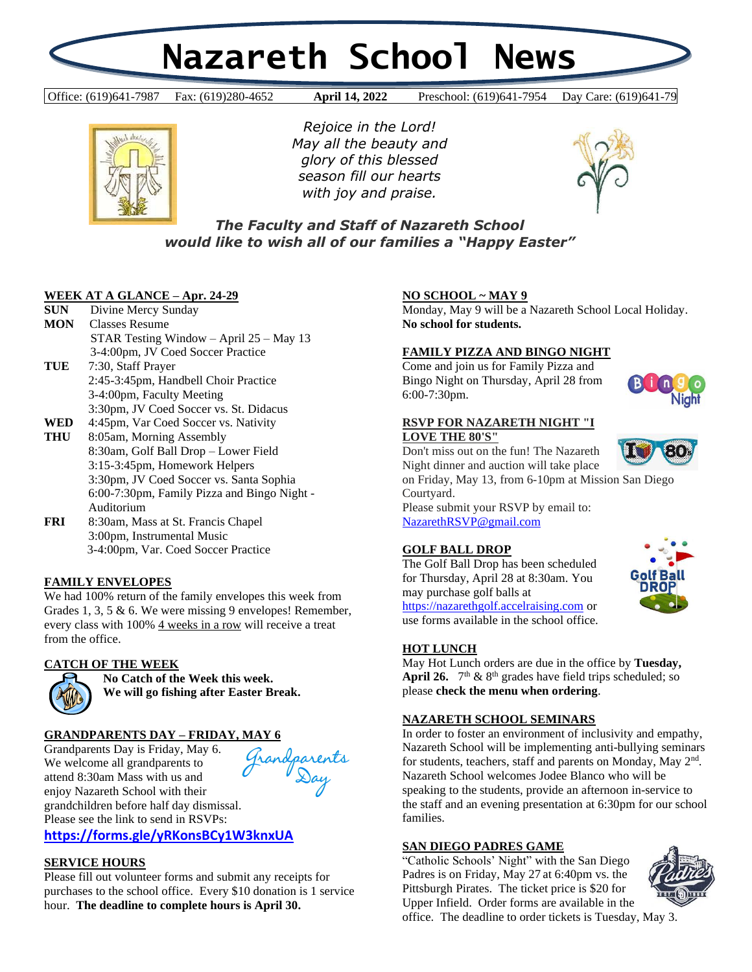# **Nazareth School News**

Office: (619)641-7987 Fax: (619)280-4652 **April 14, 2022** Preschool: (619)641-7954 Day Care: (619)641-79 **April 14, 2022** Pres



*Rejoice in the Lord! May all the beauty and glory of this blessed season fill our hearts with joy and praise.*



# *The Faculty and Staff of Nazareth School would like to wish all of our families a "Happy Easter"*

# **WEEK AT A GLANCE – Apr. 24-29**

| <b>SUN</b> | Divine Mercy Sunday                         |
|------------|---------------------------------------------|
| <b>MON</b> | <b>Classes Resume</b>                       |
|            | STAR Testing Window $-$ April 25 $-$ May 13 |
|            | 3-4:00pm, JV Coed Soccer Practice           |
| TUE        | 7:30, Staff Prayer                          |
|            | 2:45-3:45pm, Handbell Choir Practice        |
|            | 3-4:00pm, Faculty Meeting                   |
|            | 3:30pm, JV Coed Soccer vs. St. Didacus      |
| WED        | 4:45pm, Var Coed Soccer vs. Nativity        |
| THU        | 8:05am, Morning Assembly                    |
|            | 8:30am, Golf Ball Drop – Lower Field        |
|            | 3:15-3:45pm, Homework Helpers               |
|            | 3:30pm, JV Coed Soccer vs. Santa Sophia     |
|            | 6:00-7:30pm, Family Pizza and Bingo Night - |
|            | Auditorium                                  |

**FRI** 8:30am, Mass at St. Francis Chapel 3:00pm, Instrumental Music 3-4:00pm, Var. Coed Soccer Practice

# **FAMILY ENVELOPES**

We had 100% return of the family envelopes this week from Grades 1, 3, 5 & 6. We were missing 9 envelopes! Remember, every class with 100% 4 weeks in a row will receive a treat from the office.

# **CATCH OF THE WEEK**



**No Catch of the Week this week. We will go fishing after Easter Break.**

# **GRANDPARENTS DAY – FRIDAY, MAY 6**

Grandparents Day is Friday, May 6. We welcome all grandparents to attend 8:30am Mass with us and enjoy Nazareth School with their grandchildren before half day dismissal. Please see the link to send in RSVPs:

andparents<br>Day

**<https://forms.gle/yRKonsBCy1W3knxUA>**

#### **SERVICE HOURS**

Please fill out volunteer forms and submit any receipts for purchases to the school office. Every \$10 donation is 1 service hour. **The deadline to complete hours is April 30.**

# **NO SCHOOL ~ MAY 9**

Monday, May 9 will be a Nazareth School Local Holiday. **No school for students.**

#### **FAMILY PIZZA AND BINGO NIGHT**

Come and join us for Family Pizza and Bingo Night on Thursday, April 28 from 6:00-7:30pm.



#### **RSVP FOR NAZARETH NIGHT "I LOVE THE 80'S"**

Don't miss out on the fun! The Nazareth Night dinner and auction will take place

on Friday, May 13, from 6-10pm at Mission San Diego Courtyard.

Please submit your RSVP by email to: [NazarethRSVP@gmail.com](mailto:NazarethRSVP@gmail.com)

# **GOLF BALL DROP**

The Golf Ball Drop has been scheduled for Thursday, April 28 at 8:30am. You may purchase golf balls at [https://nazarethgolf.accelraising.com](https://nazarethgolf.accelraising.com/) or use forms available in the school office.



May Hot Lunch orders are due in the office by **Tuesday, April 26.**  $7<sup>th</sup>$  &  $8<sup>th</sup>$  grades have field trips scheduled; so please **check the menu when ordering**.

# **NAZARETH SCHOOL SEMINARS**

In order to foster an environment of inclusivity and empathy, Nazareth School will be implementing anti-bullying seminars for students, teachers, staff and parents on Monday, May 2<sup>nd</sup>. Nazareth School welcomes Jodee Blanco who will be speaking to the students, provide an afternoon in-service to the staff and an evening presentation at 6:30pm for our school families.

#### **SAN DIEGO PADRES GAME**

"Catholic Schools' Night" with the San Diego Padres is on Friday, May 27 at 6:40pm vs. the Pittsburgh Pirates. The ticket price is \$20 for Upper Infield. Order forms are available in the office. The deadline to order tickets is Tuesday, May 3.